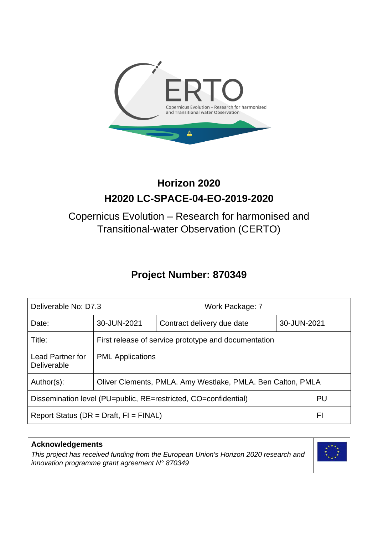

# **Horizon 2020 H2020 LC-SPACE-04-EO-2019-2020**

# Copernicus Evolution – Research for harmonised and Transitional-water Observation (CERTO)

# **Project Number: 870349**

| Deliverable No: D7.3                                                  |                                                             |                            | Work Package: 7 |             |  |
|-----------------------------------------------------------------------|-------------------------------------------------------------|----------------------------|-----------------|-------------|--|
| Date:                                                                 | 30-JUN-2021                                                 | Contract delivery due date |                 | 30-JUN-2021 |  |
| Title:                                                                | First release of service prototype and documentation        |                            |                 |             |  |
| <b>Lead Partner for</b><br>Deliverable                                | <b>PML</b> Applications                                     |                            |                 |             |  |
| Author(s):                                                            | Oliver Clements, PMLA. Amy Westlake, PMLA. Ben Calton, PMLA |                            |                 |             |  |
| PU<br>Dissemination level (PU=public, RE=restricted, CO=confidential) |                                                             |                            |                 |             |  |
| FI<br>Report Status ( $DR = Draft$ , $FI = FINAL$ )                   |                                                             |                            |                 |             |  |

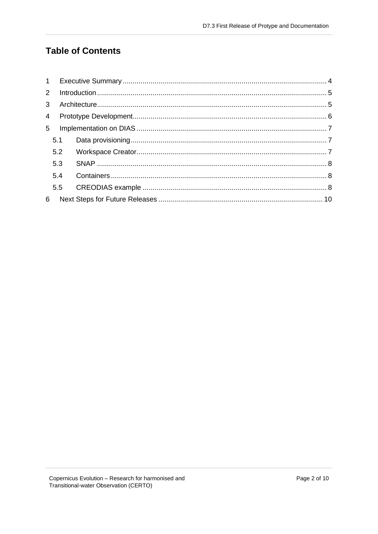## **Table of Contents**

| $2^{\circ}$    |     |  |
|----------------|-----|--|
| 3 <sup>1</sup> |     |  |
| $\overline{4}$ |     |  |
| 5              |     |  |
|                | 5.1 |  |
|                | 5.2 |  |
|                | 5.3 |  |
|                | 5.4 |  |
|                | 5.5 |  |
| 6              |     |  |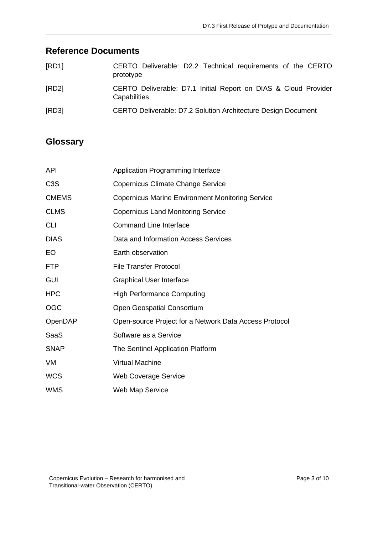# **Reference Documents**

| [RD1] | CERTO Deliverable: D2.2 Technical requirements of the CERTO<br>prototype        |
|-------|---------------------------------------------------------------------------------|
| [RD2] | CERTO Deliverable: D7.1 Initial Report on DIAS & Cloud Provider<br>Capabilities |
| [RD3] | CERTO Deliverable: D7.2 Solution Architecture Design Document                   |

### **Glossary**

| API              | <b>Application Programming Interface</b>                |  |
|------------------|---------------------------------------------------------|--|
| C <sub>3</sub> S | Copernicus Climate Change Service                       |  |
| <b>CMEMS</b>     | <b>Copernicus Marine Environment Monitoring Service</b> |  |
| <b>CLMS</b>      | <b>Copernicus Land Monitoring Service</b>               |  |
| <b>CLI</b>       | <b>Command Line Interface</b>                           |  |
| <b>DIAS</b>      | Data and Information Access Services                    |  |
| EO               | Earth observation                                       |  |
| <b>FTP</b>       | <b>File Transfer Protocol</b>                           |  |
| <b>GUI</b>       | <b>Graphical User Interface</b>                         |  |
| <b>HPC</b>       | <b>High Performance Computing</b>                       |  |
| <b>OGC</b>       | <b>Open Geospatial Consortium</b>                       |  |
| OpenDAP          | Open-source Project for a Network Data Access Protocol  |  |
| SaaS             | Software as a Service                                   |  |
| <b>SNAP</b>      | The Sentinel Application Platform                       |  |
| VM               | <b>Virtual Machine</b>                                  |  |
| <b>WCS</b>       | <b>Web Coverage Service</b>                             |  |
| <b>WMS</b>       | <b>Web Map Service</b>                                  |  |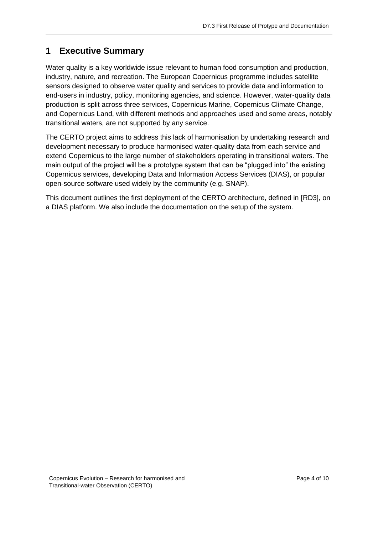## <span id="page-3-0"></span>**1 Executive Summary**

Water quality is a key worldwide issue relevant to human food consumption and production, industry, nature, and recreation. The European Copernicus programme includes satellite sensors designed to observe water quality and services to provide data and information to end-users in industry, policy, monitoring agencies, and science. However, water-quality data production is split across three services, Copernicus Marine, Copernicus Climate Change, and Copernicus Land, with different methods and approaches used and some areas, notably transitional waters, are not supported by any service.

The CERTO project aims to address this lack of harmonisation by undertaking research and development necessary to produce harmonised water-quality data from each service and extend Copernicus to the large number of stakeholders operating in transitional waters. The main output of the project will be a prototype system that can be "plugged into" the existing Copernicus services, developing Data and Information Access Services (DIAS), or popular open-source software used widely by the community (e.g. SNAP).

This document outlines the first deployment of the CERTO architecture, defined in [RD3], on a DIAS platform. We also include the documentation on the setup of the system.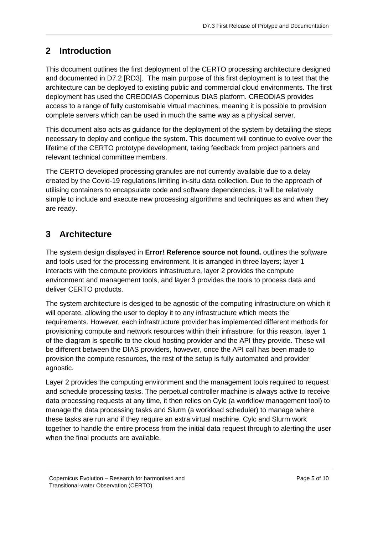## <span id="page-4-0"></span>**2 Introduction**

This document outlines the first deployment of the CERTO processing architecture designed and documented in D7.2 [RD3]. The main purpose of this first deployment is to test that the architecture can be deployed to existing public and commercial cloud environments. The first deployment has used the CREODIAS Copernicus DIAS platform. CREODIAS provides access to a range of fully customisable virtual machines, meaning it is possible to provision complete servers which can be used in much the same way as a physical server.

This document also acts as guidance for the deployment of the system by detailing the steps necessary to deploy and configue the system. This document will continue to evolve over the lifetime of the CERTO prototype development, taking feedback from project partners and relevant technical committee members.

The CERTO developed processing granules are not currently available due to a delay created by the Covid-19 regulations limiting in-situ data collection. Due to the approach of utilising containers to encapsulate code and software dependencies, it will be relatively simple to include and execute new processing algorithms and techniques as and when they are ready.

# <span id="page-4-1"></span>**3 Architecture**

The system design displayed in **Error! Reference source not found.** outlines the software and tools used for the processing environment. It is arranged in three layers; layer 1 interacts with the compute providers infrastructure, layer 2 provides the compute environment and management tools, and layer 3 provides the tools to process data and deliver CERTO products.

The system architecture is desiged to be agnostic of the computing infrastructure on which it will operate, allowing the user to deploy it to any infrastructure which meets the requirements. However, each infrastructure provider has implemented different methods for provisioning compute and network resources within their infrastrure; for this reason, layer 1 of the diagram is specific to the cloud hosting provider and the API they provide. These will be different between the DIAS providers, however, once the API call has been made to provision the compute resources, the rest of the setup is fully automated and provider agnostic.

Layer 2 provides the computing environment and the management tools required to request and schedule processing tasks. The perpetual controller machine is always active to receive data processing requests at any time, it then relies on Cylc (a workflow management tool) to manage the data processing tasks and Slurm (a workload scheduler) to manage where these tasks are run and if they require an extra virtual machine. Cylc and Slurm work together to handle the entire process from the initial data request through to alerting the user when the final products are available.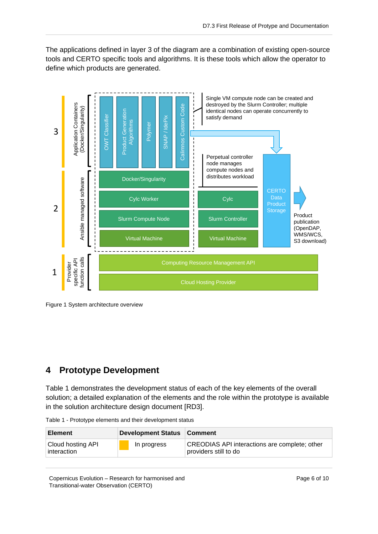The applications defined in layer 3 of the diagram are a combination of existing open-source tools and CERTO specific tools and algorithms. It is these tools which allow the operator to define which products are generated.



Figure 1 System architecture overview

#### <span id="page-5-0"></span>**4 Prototype Development**

[Table 1](#page-5-1) demonstrates the development status of each of the key elements of the overall solution; a detailed explanation of the elements and the role within the prototype is available in the solution architecture design document [RD3].

<span id="page-5-1"></span>

| Table 1 - Prototype elements and their development status |  |  |  |
|-----------------------------------------------------------|--|--|--|
|                                                           |  |  |  |

| <b>Element</b>                   | Development Status   Comment |                                                                               |
|----------------------------------|------------------------------|-------------------------------------------------------------------------------|
| Cloud hosting API<br>interaction | In progress                  | <b>CREODIAS API interactions are complete; other</b><br>providers still to do |

Copernicus Evolution – Research for harmonised and Transitional-water Observation (CERTO)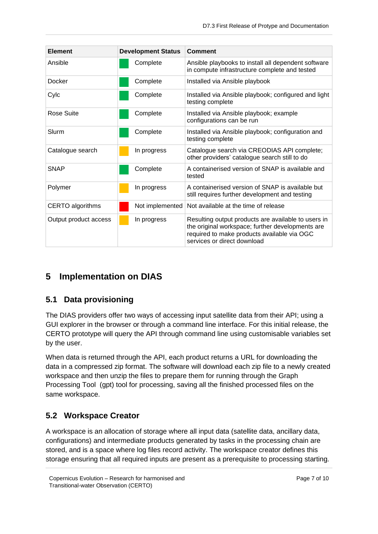| <b>Element</b>        | <b>Development Status</b> | Comment                                                                                                                                                                               |
|-----------------------|---------------------------|---------------------------------------------------------------------------------------------------------------------------------------------------------------------------------------|
| Ansible               | Complete                  | Ansible playbooks to install all dependent software<br>in compute infrastructure complete and tested                                                                                  |
| Docker                | Complete                  | Installed via Ansible playbook                                                                                                                                                        |
| Cylc                  | Complete                  | Installed via Ansible playbook; configured and light<br>testing complete                                                                                                              |
| Rose Suite            | Complete                  | Installed via Ansible playbook; example<br>configurations can be run                                                                                                                  |
| Slurm                 | Complete                  | Installed via Ansible playbook; configuration and<br>testing complete                                                                                                                 |
| Catalogue search      | In progress               | Catalogue search via CREODIAS API complete;<br>other providers' catalogue search still to do                                                                                          |
| <b>SNAP</b>           | Complete                  | A containerised version of SNAP is available and<br>tested                                                                                                                            |
| Polymer               | In progress               | A containerised version of SNAP is available but<br>still requires further development and testing                                                                                    |
| CERTO algorithms      | Not implemented           | Not available at the time of release                                                                                                                                                  |
| Output product access | In progress               | Resulting output products are available to users in<br>the original workspace; further developments are<br>required to make products available via OGC<br>services or direct download |

# <span id="page-6-0"></span>**5 Implementation on DIAS**

#### <span id="page-6-1"></span>**5.1 Data provisioning**

The DIAS providers offer two ways of accessing input satellite data from their API; using a GUI explorer in the browser or through a command line interface. For this initial release, the CERTO prototype will query the API through command line using customisable variables set by the user.

When data is returned through the API, each product returns a URL for downloading the data in a compressed zip format. The software will download each zip file to a newly created workspace and then unzip the files to prepare them for running through the Graph Processing Tool (gpt) tool for processing, saving all the finished processed files on the same workspace.

### <span id="page-6-2"></span>**5.2 Workspace Creator**

A workspace is an allocation of storage where all input data (satellite data, ancillary data, configurations) and intermediate products generated by tasks in the processing chain are stored, and is a space where log files record activity. The workspace creator defines this storage ensuring that all required inputs are present as a prerequisite to processing starting.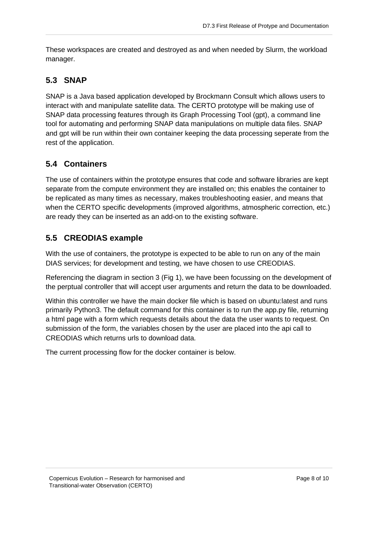These workspaces are created and destroyed as and when needed by Slurm, the workload manager.

### <span id="page-7-0"></span>**5.3 SNAP**

SNAP is a Java based application developed by Brockmann Consult which allows users to interact with and manipulate satellite data. The CERTO prototype will be making use of SNAP data processing features through its Graph Processing Tool (gpt), a command line tool for automating and performing SNAP data manipulations on multiple data files. SNAP and gpt will be run within their own container keeping the data processing seperate from the rest of the application.

### <span id="page-7-1"></span>**5.4 Containers**

The use of containers within the prototype ensures that code and software libraries are kept separate from the compute environment they are installed on; this enables the container to be replicated as many times as necessary, makes troubleshooting easier, and means that when the CERTO specific developments (improved algorithms, atmospheric correction, etc.) are ready they can be inserted as an add-on to the existing software.

### <span id="page-7-2"></span>**5.5 CREODIAS example**

With the use of containers, the prototype is expected to be able to run on any of the main DIAS services; for development and testing, we have chosen to use CREODIAS.

Referencing the diagram in section 3 (Fig 1), we have been focussing on the development of the perptual controller that will accept user arguments and return the data to be downloaded.

Within this controller we have the main docker file which is based on ubuntu:latest and runs primarily Python3. The default command for this container is to run the app.py file, returning a html page with a form which requests details about the data the user wants to request. On submission of the form, the variables chosen by the user are placed into the api call to CREODIAS which returns urls to download data.

The current processing flow for the docker container is below.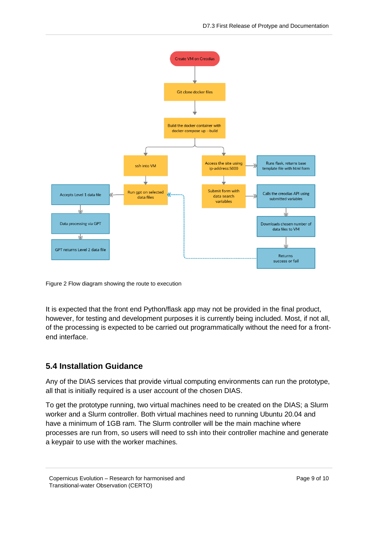

Figure 2 Flow diagram showing the route to execution

It is expected that the front end Python/flask app may not be provided in the final product, however, for testing and development purposes it is currently being included. Most, if not all, of the processing is expected to be carried out programmatically without the need for a frontend interface.

#### **5.4 Installation Guidance**

Any of the DIAS services that provide virtual computing environments can run the prototype, all that is initially required is a user account of the chosen DIAS.

To get the prototype running, two virtual machines need to be created on the DIAS; a Slurm worker and a Slurm controller. Both virtual machines need to running Ubuntu 20.04 and have a minimum of 1GB ram. The Slurm controller will be the main machine where processes are run from, so users will need to ssh into their controller machine and generate a keypair to use with the worker machines.